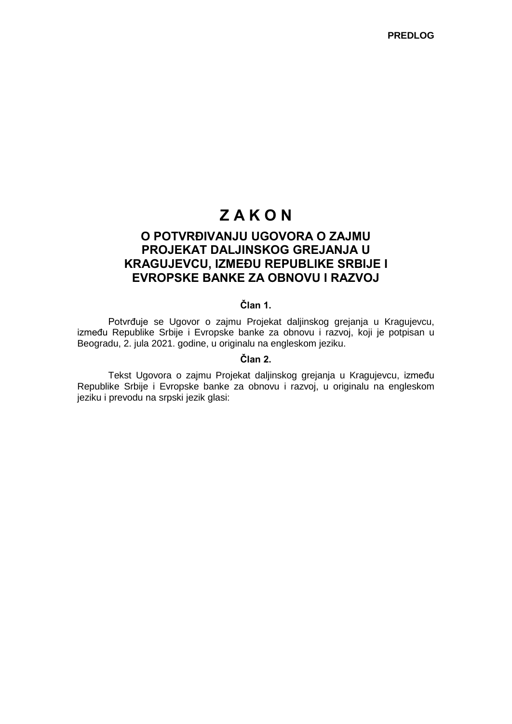# **Z A K O N**

# **O POTVRĐIVANJU UGOVORA O ZAJMU PROJEKAT DALJINSKOG GREJANJA U KRAGUJEVCU, IZMEĐU REPUBLIKE SRBIJE I EVROPSKE BANKE ZA OBNOVU I RAZVOJ**

# **Član 1.**

Potvrđuje se Ugovor o zajmu Projekat daljinskog grejanja u Kragujevcu, između Republike Srbije i Evropske banke za obnovu i razvoj, koji je potpisan u Beogradu, 2. jula 2021. godine, u originalu na engleskom jeziku.

#### **Član 2.**

Tekst Ugovora o zajmu Projekat daljinskog grejanja u Kragujevcu, između Republike Srbije i Evropske banke za obnovu i razvoj, u originalu na engleskom jeziku i prevodu na srpski jezik glasi: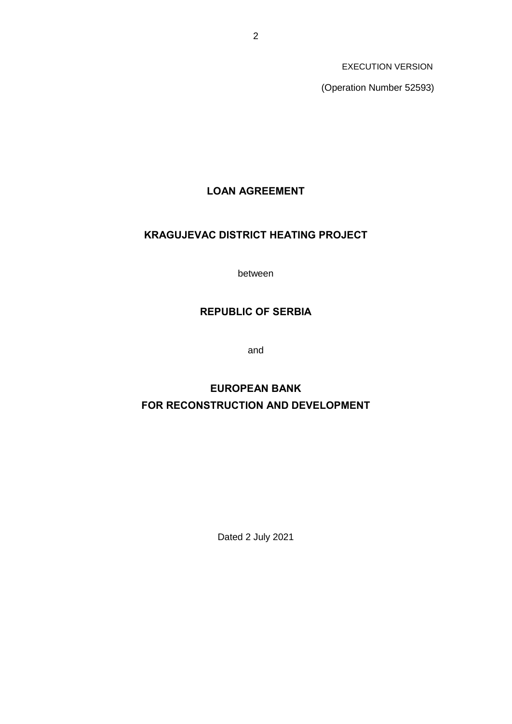(Operation Number 52593)

# **LOAN AGREEMENT**

# **KRAGUJEVAC DISTRICT HEATING PROJECT**

between

# **REPUBLIC OF SERBIA**

and

# **EUROPEAN BANK FOR RECONSTRUCTION AND DEVELOPMENT**

Dated 2 July 2021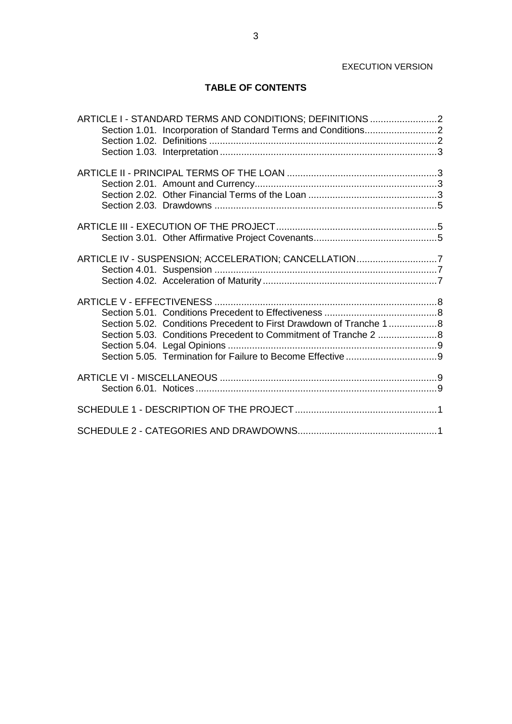# **TABLE OF CONTENTS**

| ARTICLE I - STANDARD TERMS AND CONDITIONS; DEFINITIONS 2           |  |
|--------------------------------------------------------------------|--|
|                                                                    |  |
|                                                                    |  |
|                                                                    |  |
|                                                                    |  |
|                                                                    |  |
|                                                                    |  |
|                                                                    |  |
|                                                                    |  |
|                                                                    |  |
|                                                                    |  |
|                                                                    |  |
|                                                                    |  |
| ARTICLE IV - SUSPENSION; ACCELERATION; CANCELLATION7               |  |
|                                                                    |  |
|                                                                    |  |
|                                                                    |  |
|                                                                    |  |
|                                                                    |  |
| Section 5.02. Conditions Precedent to First Drawdown of Tranche 18 |  |
|                                                                    |  |
|                                                                    |  |
|                                                                    |  |
|                                                                    |  |
|                                                                    |  |
|                                                                    |  |
|                                                                    |  |
|                                                                    |  |
|                                                                    |  |
|                                                                    |  |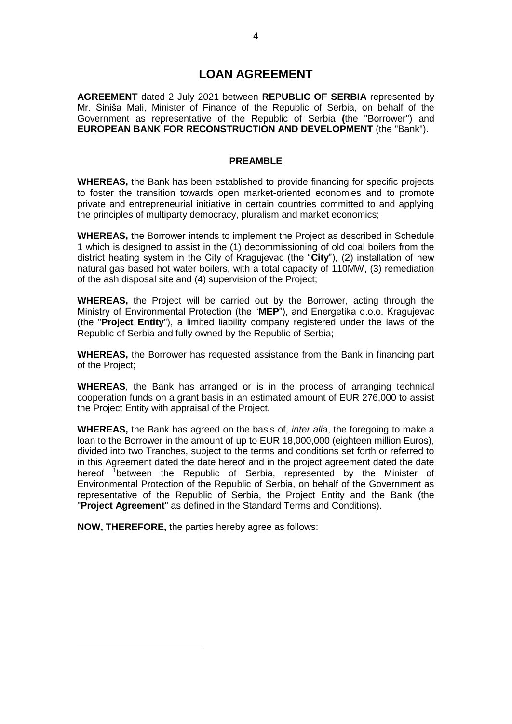# **LOAN AGREEMENT**

**AGREEMENT** dated 2 July 2021 between **REPUBLIC OF SERBIA** represented by Mr. Siniša Mali, Minister of Finance of the Republic of Serbia, on behalf of the Government as representative of the Republic of Serbia **(**the "Borrower") and **EUROPEAN BANK FOR RECONSTRUCTION AND DEVELOPMENT** (the "Bank").

### **PREAMBLE**

**WHEREAS,** the Bank has been established to provide financing for specific projects to foster the transition towards open market-oriented economies and to promote private and entrepreneurial initiative in certain countries committed to and applying the principles of multiparty democracy, pluralism and market economics;

**WHEREAS,** the Borrower intends to implement the Project as described in Schedule 1 which is designed to assist in the (1) decommissioning of old coal boilers from the district heating system in the City of Kragujevac (the "**City**"), (2) installation of new natural gas based hot water boilers, with a total capacity of 110MW, (3) remediation of the ash disposal site and (4) supervision of the Project;

**WHEREAS,** the Project will be carried out by the Borrower, acting through the Ministry of Environmental Protection (the "**MEP**"), and Energetika d.o.o. Kragujevac (the "**Project Entity**"), a limited liability company registered under the laws of the Republic of Serbia and fully owned by the Republic of Serbia;

**WHEREAS,** the Borrower has requested assistance from the Bank in financing part of the Project;

**WHEREAS**, the Bank has arranged or is in the process of arranging technical cooperation funds on a grant basis in an estimated amount of EUR 276,000 to assist the Project Entity with appraisal of the Project.

**WHEREAS,** the Bank has agreed on the basis of, *inter alia*, the foregoing to make a loan to the Borrower in the amount of up to EUR 18,000,000 (eighteen million Euros), divided into two Tranches, subject to the terms and conditions set forth or referred to in this Agreement dated the date hereof and in the project agreement dated the date hereof <sup>1</sup>between the Republic of Serbia, represented by the Minister of Environmental Protection of the Republic of Serbia, on behalf of the Government as representative of the Republic of Serbia, the Project Entity and the Bank (the "**Project Agreement**" as defined in the Standard Terms and Conditions).

**NOW, THEREFORE,** the parties hereby agree as follows:

-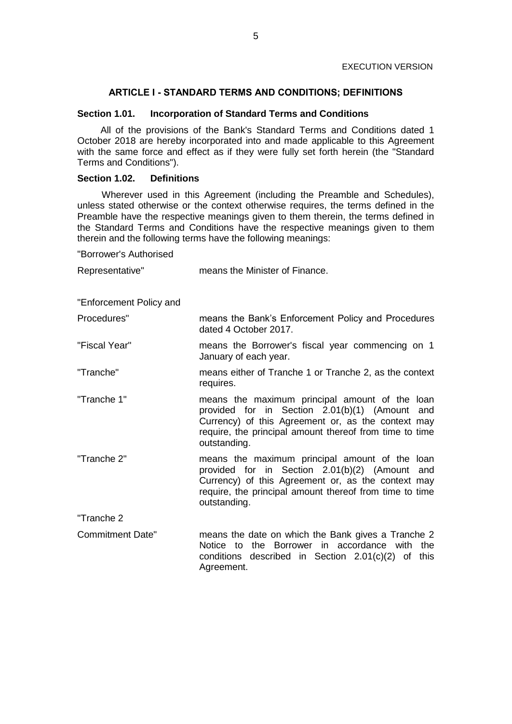# **ARTICLE I - STANDARD TERMS AND CONDITIONS; DEFINITIONS**

### **Section 1.01. Incorporation of Standard Terms and Conditions**

All of the provisions of the Bank's Standard Terms and Conditions dated 1 October 2018 are hereby incorporated into and made applicable to this Agreement with the same force and effect as if they were fully set forth herein (the "Standard Terms and Conditions").

# **Section 1.02. Definitions**

Wherever used in this Agreement (including the Preamble and Schedules), unless stated otherwise or the context otherwise requires, the terms defined in the Preamble have the respective meanings given to them therein, the terms defined in the Standard Terms and Conditions have the respective meanings given to them therein and the following terms have the following meanings:

"Borrower's Authorised

| Representative"         | means the Minister of Finance.                                                                                                                                                                                                       |  |
|-------------------------|--------------------------------------------------------------------------------------------------------------------------------------------------------------------------------------------------------------------------------------|--|
| "Enforcement Policy and |                                                                                                                                                                                                                                      |  |
| Procedures"             | means the Bank's Enforcement Policy and Procedures<br>dated 4 October 2017.                                                                                                                                                          |  |
| "Fiscal Year"           | means the Borrower's fiscal year commencing on 1<br>January of each year.                                                                                                                                                            |  |
| "Tranche"               | means either of Tranche 1 or Tranche 2, as the context<br>requires.                                                                                                                                                                  |  |
| "Tranche 1"             | means the maximum principal amount of the loan<br>provided for in Section 2.01(b)(1) (Amount<br>and<br>Currency) of this Agreement or, as the context may<br>require, the principal amount thereof from time to time<br>outstanding. |  |
| "Tranche 2"             | means the maximum principal amount of the loan<br>provided for in Section 2.01(b)(2) (Amount<br>and<br>Currency) of this Agreement or, as the context may<br>require, the principal amount thereof from time to time<br>outstanding. |  |
| "Tranche 2              |                                                                                                                                                                                                                                      |  |
| Commitment Date"        | means the date on which the Bank gives a Tranche 2<br><b>Notice</b><br>the Borrower in accordance with the<br>to<br>conditions described in Section 2.01(c)(2) of<br>this<br>Agreement.                                              |  |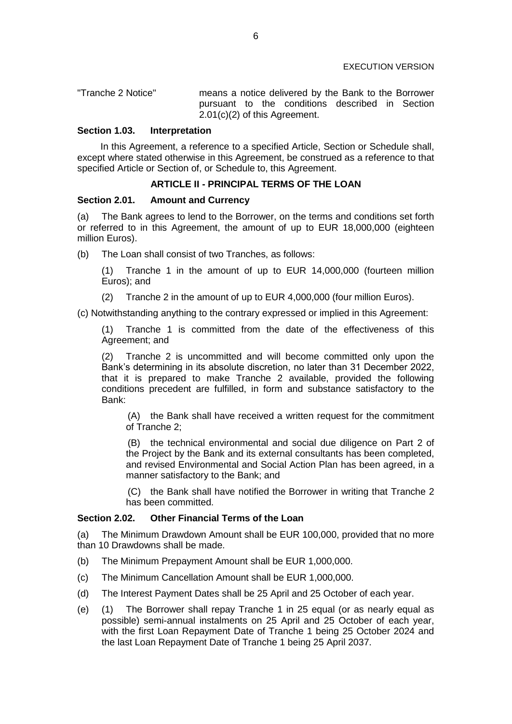| "Tranche 2 Notice" | means a notice delivered by the Bank to the Borrower |  |  |                                                 |  |  |
|--------------------|------------------------------------------------------|--|--|-------------------------------------------------|--|--|
|                    |                                                      |  |  | pursuant to the conditions described in Section |  |  |
|                    | $2.01(c)(2)$ of this Agreement.                      |  |  |                                                 |  |  |

#### **Section 1.03. Interpretation**

In this Agreement, a reference to a specified Article, Section or Schedule shall, except where stated otherwise in this Agreement, be construed as a reference to that specified Article or Section of, or Schedule to, this Agreement.

# **ARTICLE II - PRINCIPAL TERMS OF THE LOAN**

### **Section 2.01. Amount and Currency**

(a) The Bank agrees to lend to the Borrower, on the terms and conditions set forth or referred to in this Agreement, the amount of up to EUR 18,000,000 (eighteen million Euros).

(b) The Loan shall consist of two Tranches, as follows:

(1) Tranche 1 in the amount of up to EUR 14,000,000 (fourteen million Euros); and

(2) Tranche 2 in the amount of up to EUR 4,000,000 (four million Euros).

(c) Notwithstanding anything to the contrary expressed or implied in this Agreement:

(1) Tranche 1 is committed from the date of the effectiveness of this Agreement; and

(2) Tranche 2 is uncommitted and will become committed only upon the Bank's determining in its absolute discretion, no later than 31 December 2022, that it is prepared to make Tranche 2 available, provided the following conditions precedent are fulfilled, in form and substance satisfactory to the Bank:

(A) the Bank shall have received a written request for the commitment of Tranche 2;

(B) the technical environmental and social due diligence on Part 2 of the Project by the Bank and its external consultants has been completed, and revised Environmental and Social Action Plan has been agreed, in a manner satisfactory to the Bank; and

(C) the Bank shall have notified the Borrower in writing that Tranche 2 has been committed.

### **Section 2.02. Other Financial Terms of the Loan**

(a) The Minimum Drawdown Amount shall be EUR 100,000, provided that no more than 10 Drawdowns shall be made.

- (b) The Minimum Prepayment Amount shall be EUR 1,000,000.
- (c) The Minimum Cancellation Amount shall be EUR 1,000,000.
- (d) The Interest Payment Dates shall be 25 April and 25 October of each year.
- (e) (1) The Borrower shall repay Tranche 1 in 25 equal (or as nearly equal as possible) semi-annual instalments on 25 April and 25 October of each year, with the first Loan Repayment Date of Tranche 1 being 25 October 2024 and the last Loan Repayment Date of Tranche 1 being 25 April 2037.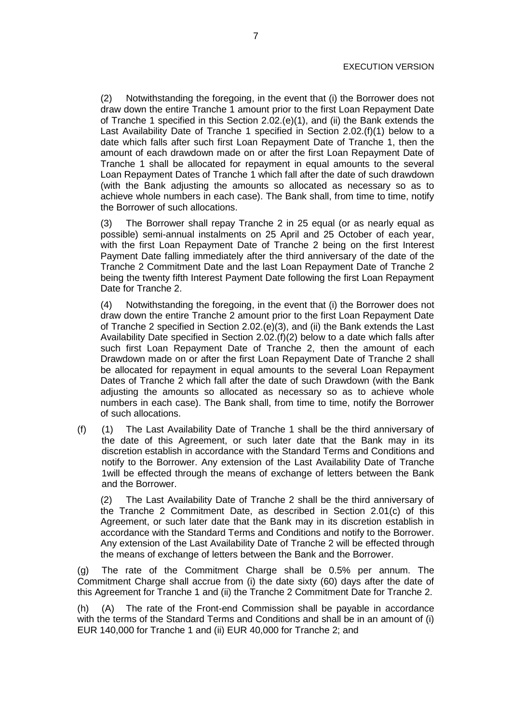(2) Notwithstanding the foregoing, in the event that (i) the Borrower does not draw down the entire Tranche 1 amount prior to the first Loan Repayment Date of Tranche 1 specified in this Section 2.02.(e)(1), and (ii) the Bank extends the Last Availability Date of Tranche 1 specified in Section 2.02.(f)(1) below to a date which falls after such first Loan Repayment Date of Tranche 1, then the amount of each drawdown made on or after the first Loan Repayment Date of Tranche 1 shall be allocated for repayment in equal amounts to the several Loan Repayment Dates of Tranche 1 which fall after the date of such drawdown (with the Bank adjusting the amounts so allocated as necessary so as to achieve whole numbers in each case). The Bank shall, from time to time, notify the Borrower of such allocations.

(3) The Borrower shall repay Tranche 2 in 25 equal (or as nearly equal as possible) semi-annual instalments on 25 April and 25 October of each year, with the first Loan Repayment Date of Tranche 2 being on the first Interest Payment Date falling immediately after the third anniversary of the date of the Tranche 2 Commitment Date and the last Loan Repayment Date of Tranche 2 being the twenty fifth Interest Payment Date following the first Loan Repayment Date for Tranche 2.

(4) Notwithstanding the foregoing, in the event that (i) the Borrower does not draw down the entire Tranche 2 amount prior to the first Loan Repayment Date of Tranche 2 specified in Section 2.02.(e)(3), and (ii) the Bank extends the Last Availability Date specified in Section 2.02.(f)(2) below to a date which falls after such first Loan Repayment Date of Tranche 2, then the amount of each Drawdown made on or after the first Loan Repayment Date of Tranche 2 shall be allocated for repayment in equal amounts to the several Loan Repayment Dates of Tranche 2 which fall after the date of such Drawdown (with the Bank adjusting the amounts so allocated as necessary so as to achieve whole numbers in each case). The Bank shall, from time to time, notify the Borrower of such allocations.

(f) (1) The Last Availability Date of Tranche 1 shall be the third anniversary of the date of this Agreement, or such later date that the Bank may in its discretion establish in accordance with the Standard Terms and Conditions and notify to the Borrower. Any extension of the Last Availability Date of Tranche 1will be effected through the means of exchange of letters between the Bank and the Borrower.

(2) The Last Availability Date of Tranche 2 shall be the third anniversary of the Tranche 2 Commitment Date, as described in Section 2.01(c) of this Agreement, or such later date that the Bank may in its discretion establish in accordance with the Standard Terms and Conditions and notify to the Borrower. Any extension of the Last Availability Date of Tranche 2 will be effected through the means of exchange of letters between the Bank and the Borrower.

(g) The rate of the Commitment Charge shall be 0.5% per annum. The Commitment Charge shall accrue from (i) the date sixty (60) days after the date of this Agreement for Tranche 1 and (ii) the Tranche 2 Commitment Date for Tranche 2.

(h) (A) The rate of the Front-end Commission shall be payable in accordance with the terms of the Standard Terms and Conditions and shall be in an amount of (i) EUR 140,000 for Tranche 1 and (ii) EUR 40,000 for Tranche 2; and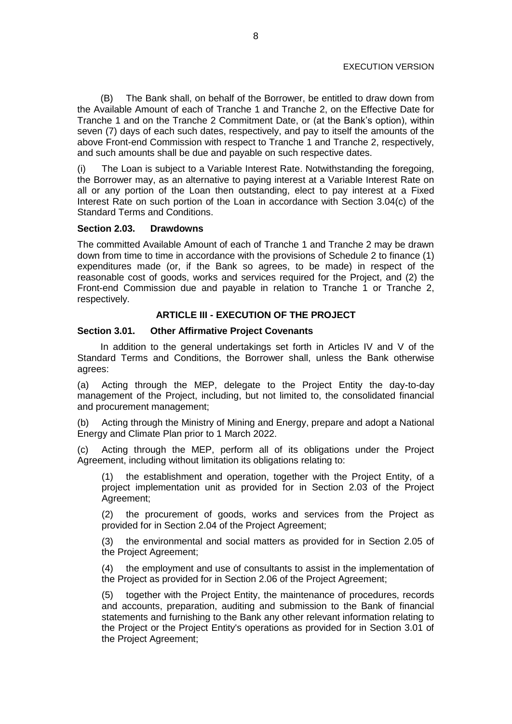(B) The Bank shall, on behalf of the Borrower, be entitled to draw down from the Available Amount of each of Tranche 1 and Tranche 2, on the Effective Date for Tranche 1 and on the Tranche 2 Commitment Date, or (at the Bank's option), within seven (7) days of each such dates, respectively, and pay to itself the amounts of the above Front-end Commission with respect to Tranche 1 and Tranche 2, respectively, and such amounts shall be due and payable on such respective dates.

(i) The Loan is subject to a Variable Interest Rate. Notwithstanding the foregoing, the Borrower may, as an alternative to paying interest at a Variable Interest Rate on all or any portion of the Loan then outstanding, elect to pay interest at a Fixed Interest Rate on such portion of the Loan in accordance with Section 3.04(c) of the Standard Terms and Conditions.

# **Section 2.03. Drawdowns**

The committed Available Amount of each of Tranche 1 and Tranche 2 may be drawn down from time to time in accordance with the provisions of Schedule 2 to finance (1) expenditures made (or, if the Bank so agrees, to be made) in respect of the reasonable cost of goods, works and services required for the Project, and (2) the Front-end Commission due and payable in relation to Tranche 1 or Tranche 2, respectively.

# **ARTICLE III - EXECUTION OF THE PROJECT**

# **Section 3.01. Other Affirmative Project Covenants**

In addition to the general undertakings set forth in Articles IV and V of the Standard Terms and Conditions, the Borrower shall, unless the Bank otherwise agrees:

(a) Acting through the MEP, delegate to the Project Entity the day-to-day management of the Project, including, but not limited to, the consolidated financial and procurement management;

(b) Acting through the Ministry of Mining and Energy, prepare and adopt a National Energy and Climate Plan prior to 1 March 2022.

(c) Acting through the MEP, perform all of its obligations under the Project Agreement, including without limitation its obligations relating to:

(1) the establishment and operation, together with the Project Entity, of a project implementation unit as provided for in Section 2.03 of the Project Agreement;

(2) the procurement of goods, works and services from the Project as provided for in Section 2.04 of the Project Agreement;

(3) the environmental and social matters as provided for in Section 2.05 of the Project Agreement;

(4) the employment and use of consultants to assist in the implementation of the Project as provided for in Section 2.06 of the Project Agreement;

(5) together with the Project Entity, the maintenance of procedures, records and accounts, preparation, auditing and submission to the Bank of financial statements and furnishing to the Bank any other relevant information relating to the Project or the Project Entity's operations as provided for in Section 3.01 of the Project Agreement;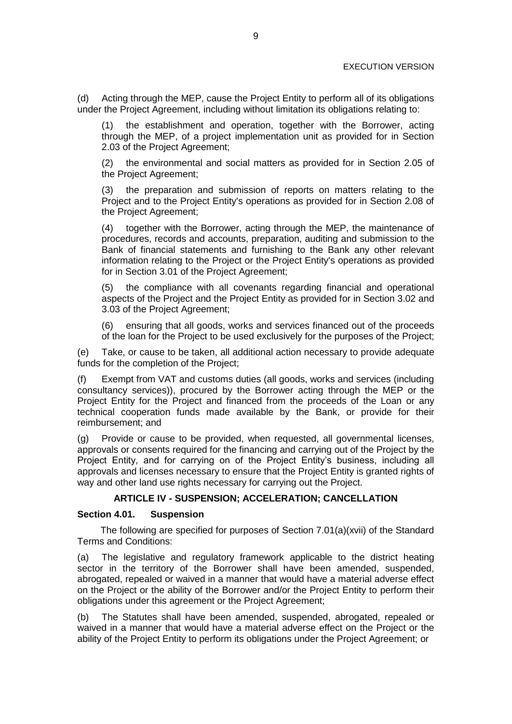(d) Acting through the MEP, cause the Project Entity to perform all of its obligations under the Project Agreement, including without limitation its obligations relating to:

(1) the establishment and operation, together with the Borrower, acting through the MEP, of a project implementation unit as provided for in Section 2.03 of the Project Agreement;

(2) the environmental and social matters as provided for in Section 2.05 of the Project Agreement;

the preparation and submission of reports on matters relating to the Project and to the Project Entity's operations as provided for in Section 2.08 of the Project Agreement;

(4) together with the Borrower, acting through the MEP, the maintenance of procedures, records and accounts, preparation, auditing and submission to the Bank of financial statements and furnishing to the Bank any other relevant information relating to the Project or the Project Entity's operations as provided for in Section 3.01 of the Project Agreement;

(5) the compliance with all covenants regarding financial and operational aspects of the Project and the Project Entity as provided for in Section 3.02 and 3.03 of the Project Agreement;

(6) ensuring that all goods, works and services financed out of the proceeds of the loan for the Project to be used exclusively for the purposes of the Project;

(e) Take, or cause to be taken, all additional action necessary to provide adequate funds for the completion of the Project;

(f) Exempt from VAT and customs duties (all goods, works and services (including consultancy services)), procured by the Borrower acting through the MEP or the Project Entity for the Project and financed from the proceeds of the Loan or any technical cooperation funds made available by the Bank, or provide for their reimbursement; and

(g) Provide or cause to be provided, when requested, all governmental licenses, approvals or consents required for the financing and carrying out of the Project by the Project Entity, and for carrying on of the Project Entity's business, including all approvals and licenses necessary to ensure that the Project Entity is granted rights of way and other land use rights necessary for carrying out the Project.

### **ARTICLE IV - SUSPENSION; ACCELERATION; CANCELLATION**

### **Section 4.01. Suspension**

The following are specified for purposes of Section 7.01(a)(xvii) of the Standard Terms and Conditions:

(a) The legislative and regulatory framework applicable to the district heating sector in the territory of the Borrower shall have been amended, suspended, abrogated, repealed or waived in a manner that would have a material adverse effect on the Project or the ability of the Borrower and/or the Project Entity to perform their obligations under this agreement or the Project Agreement;

(b) The Statutes shall have been amended, suspended, abrogated, repealed or waived in a manner that would have a material adverse effect on the Project or the ability of the Project Entity to perform its obligations under the Project Agreement; or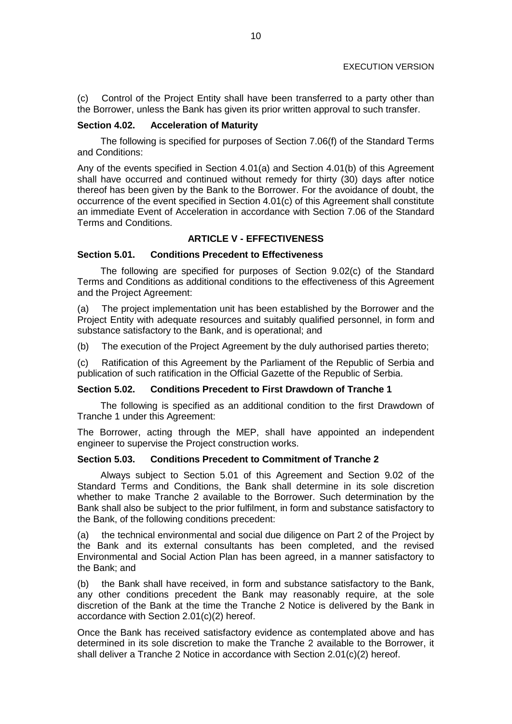(c) Control of the Project Entity shall have been transferred to a party other than the Borrower, unless the Bank has given its prior written approval to such transfer.

# **Section 4.02. Acceleration of Maturity**

The following is specified for purposes of Section 7.06(f) of the Standard Terms and Conditions:

Any of the events specified in Section 4.01(a) and Section 4.01(b) of this Agreement shall have occurred and continued without remedy for thirty (30) days after notice thereof has been given by the Bank to the Borrower. For the avoidance of doubt, the occurrence of the event specified in Section 4.01(c) of this Agreement shall constitute an immediate Event of Acceleration in accordance with Section 7.06 of the Standard Terms and Conditions.

# **ARTICLE V - EFFECTIVENESS**

### **Section 5.01. Conditions Precedent to Effectiveness**

The following are specified for purposes of Section 9.02(c) of the Standard Terms and Conditions as additional conditions to the effectiveness of this Agreement and the Project Agreement:

(a) The project implementation unit has been established by the Borrower and the Project Entity with adequate resources and suitably qualified personnel, in form and substance satisfactory to the Bank, and is operational; and

(b) The execution of the Project Agreement by the duly authorised parties thereto;

(c) Ratification of this Agreement by the Parliament of the Republic of Serbia and publication of such ratification in the Official Gazette of the Republic of Serbia.

#### **Section 5.02. Conditions Precedent to First Drawdown of Tranche 1**

The following is specified as an additional condition to the first Drawdown of Tranche 1 under this Agreement:

The Borrower, acting through the MEP, shall have appointed an independent engineer to supervise the Project construction works.

# **Section 5.03. Conditions Precedent to Commitment of Tranche 2**

Always subject to Section 5.01 of this Agreement and Section 9.02 of the Standard Terms and Conditions, the Bank shall determine in its sole discretion whether to make Tranche 2 available to the Borrower. Such determination by the Bank shall also be subject to the prior fulfilment, in form and substance satisfactory to the Bank, of the following conditions precedent:

(a) the technical environmental and social due diligence on Part 2 of the Project by the Bank and its external consultants has been completed, and the revised Environmental and Social Action Plan has been agreed, in a manner satisfactory to the Bank; and

(b) the Bank shall have received, in form and substance satisfactory to the Bank, any other conditions precedent the Bank may reasonably require, at the sole discretion of the Bank at the time the Tranche 2 Notice is delivered by the Bank in accordance with Section 2.01(c)(2) hereof.

Once the Bank has received satisfactory evidence as contemplated above and has determined in its sole discretion to make the Tranche 2 available to the Borrower, it shall deliver a Tranche 2 Notice in accordance with Section 2.01(c)(2) hereof.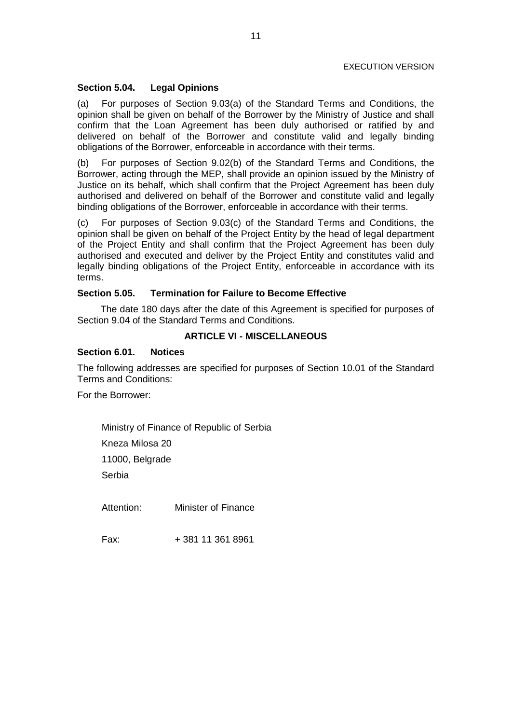# **Section 5.04. Legal Opinions**

(a) For purposes of Section 9.03(a) of the Standard Terms and Conditions, the opinion shall be given on behalf of the Borrower by the Ministry of Justice and shall confirm that the Loan Agreement has been duly authorised or ratified by and delivered on behalf of the Borrower and constitute valid and legally binding obligations of the Borrower, enforceable in accordance with their terms.

(b) For purposes of Section 9.02(b) of the Standard Terms and Conditions, the Borrower, acting through the MEP, shall provide an opinion issued by the Ministry of Justice on its behalf, which shall confirm that the Project Agreement has been duly authorised and delivered on behalf of the Borrower and constitute valid and legally binding obligations of the Borrower, enforceable in accordance with their terms.

(c) For purposes of Section 9.03(c) of the Standard Terms and Conditions, the opinion shall be given on behalf of the Project Entity by the head of legal department of the Project Entity and shall confirm that the Project Agreement has been duly authorised and executed and deliver by the Project Entity and constitutes valid and legally binding obligations of the Project Entity, enforceable in accordance with its terms.

# **Section 5.05. Termination for Failure to Become Effective**

The date 180 days after the date of this Agreement is specified for purposes of Section 9.04 of the Standard Terms and Conditions.

# **ARTICLE VI - MISCELLANEOUS**

# **Section 6.01. Notices**

The following addresses are specified for purposes of Section 10.01 of the Standard Terms and Conditions:

For the Borrower:

Ministry of Finance of Republic of Serbia

Kneza Milosa 20

11000, Belgrade

Serbia

Attention: Minister of Finance

Fax: + 381 11 361 8961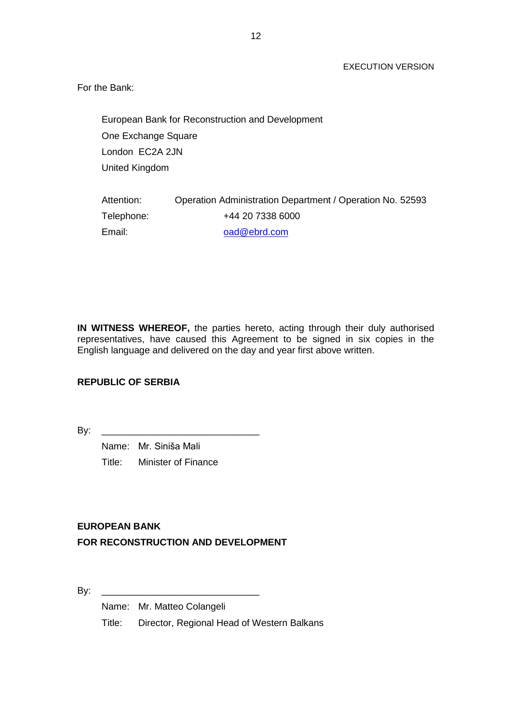For the Bank:

European Bank for Reconstruction and Development One Exchange Square London EC2A 2JN United Kingdom

| Attention: | Operation Administration Department / Operation No. 52593 |
|------------|-----------------------------------------------------------|
| Telephone: | +44 20 7338 6000                                          |
| Email:     | oad@ebrd.com                                              |

**IN WITNESS WHEREOF,** the parties hereto, acting through their duly authorised representatives, have caused this Agreement to be signed in six copies in the English language and delivered on the day and year first above written.

# **REPUBLIC OF SERBIA**

By: \_\_\_\_\_\_\_\_\_\_\_\_\_\_\_\_\_\_\_\_\_\_\_\_\_\_\_\_\_\_

Name: Mr. Siniša Mali Title: Minister of Finance

# **EUROPEAN BANK FOR RECONSTRUCTION AND DEVELOPMENT**

 $\mathsf{By:}$ 

Name: Mr. Matteo Colangeli

Title: Director, Regional Head of Western Balkans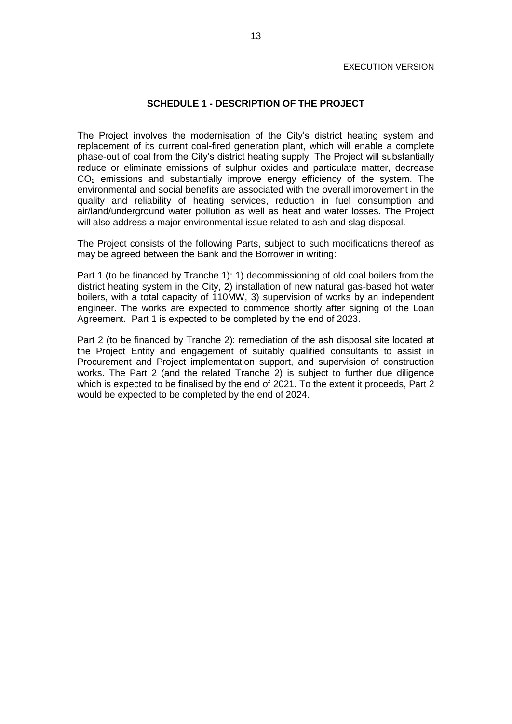### **SCHEDULE 1 - DESCRIPTION OF THE PROJECT**

The Project involves the modernisation of the City's district heating system and replacement of its current coal-fired generation plant, which will enable a complete phase-out of coal from the City's district heating supply. The Project will substantially reduce or eliminate emissions of sulphur oxides and particulate matter, decrease  $CO<sub>2</sub>$  emissions and substantially improve energy efficiency of the system. The environmental and social benefits are associated with the overall improvement in the quality and reliability of heating services, reduction in fuel consumption and air/land/underground water pollution as well as heat and water losses. The Project will also address a major environmental issue related to ash and slag disposal.

The Project consists of the following Parts, subject to such modifications thereof as may be agreed between the Bank and the Borrower in writing:

Part 1 (to be financed by Tranche 1): 1) decommissioning of old coal boilers from the district heating system in the City, 2) installation of new natural gas-based hot water boilers, with a total capacity of 110MW, 3) supervision of works by an independent engineer. The works are expected to commence shortly after signing of the Loan Agreement. Part 1 is expected to be completed by the end of 2023.

Part 2 (to be financed by Tranche 2): remediation of the ash disposal site located at the Project Entity and engagement of suitably qualified consultants to assist in Procurement and Project implementation support, and supervision of construction works. The Part 2 (and the related Tranche 2) is subject to further due diligence which is expected to be finalised by the end of 2021. To the extent it proceeds, Part 2 would be expected to be completed by the end of 2024.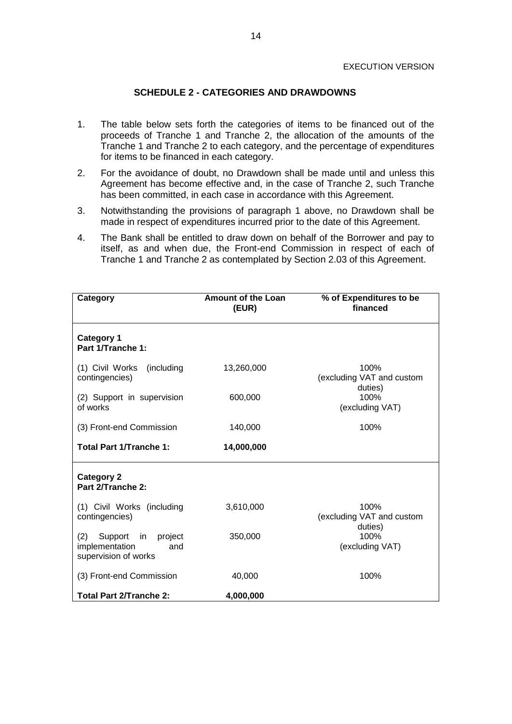# **SCHEDULE 2 - CATEGORIES AND DRAWDOWNS**

- 1. The table below sets forth the categories of items to be financed out of the proceeds of Tranche 1 and Tranche 2, the allocation of the amounts of the Tranche 1 and Tranche 2 to each category, and the percentage of expenditures for items to be financed in each category.
- 2. For the avoidance of doubt, no Drawdown shall be made until and unless this Agreement has become effective and, in the case of Tranche 2, such Tranche has been committed, in each case in accordance with this Agreement.
- 3. Notwithstanding the provisions of paragraph 1 above, no Drawdown shall be made in respect of expenditures incurred prior to the date of this Agreement.
- 4. The Bank shall be entitled to draw down on behalf of the Borrower and pay to itself, as and when due, the Front-end Commission in respect of each of Tranche 1 and Tranche 2 as contemplated by Section 2.03 of this Agreement.

| Category                                                                         | <b>Amount of the Loan</b><br>(EUR) | % of Expenditures to be<br>financed          |  |
|----------------------------------------------------------------------------------|------------------------------------|----------------------------------------------|--|
| <b>Category 1</b><br>Part 1/Tranche 1:                                           |                                    |                                              |  |
| (1) Civil Works<br>(including<br>contingencies)                                  | 13,260,000                         | 100%<br>(excluding VAT and custom<br>duties) |  |
| (2) Support in supervision<br>of works                                           | 600,000                            | 100%<br>(excluding VAT)                      |  |
| (3) Front-end Commission                                                         | 140,000                            | 100%                                         |  |
| <b>Total Part 1/Tranche 1:</b>                                                   | 14,000,000                         |                                              |  |
| <b>Category 2</b><br>Part 2/Tranche 2:                                           |                                    |                                              |  |
| (1) Civil Works (including<br>contingencies)                                     | 3,610,000                          | 100%<br>(excluding VAT and custom<br>duties) |  |
| (2)<br>Support<br>in<br>project<br>implementation<br>and<br>supervision of works | 350,000                            | 100%<br>(excluding VAT)                      |  |
| (3) Front-end Commission                                                         | 40,000                             | 100%                                         |  |
| Total Part 2/Tranche 2:                                                          | 4,000,000                          |                                              |  |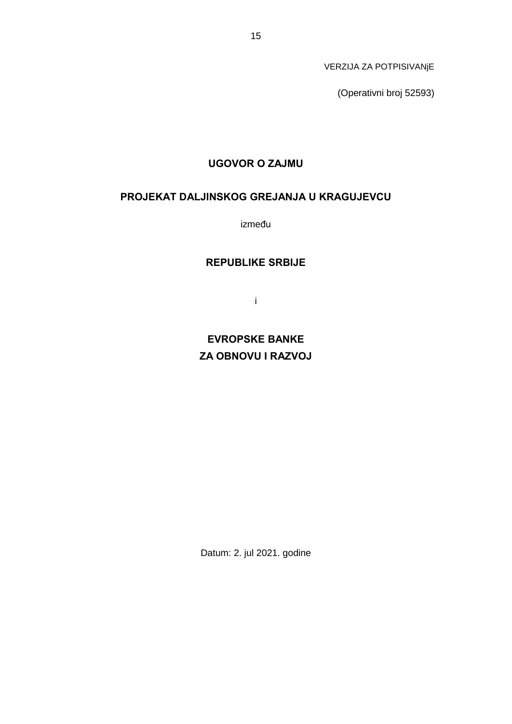VERZIJA ZA POTPISIVANjE

(Operativni broj 52593)

# **UGOVOR O ZAJMU**

# **PROJEKAT DALJINSKOG GREJANJA U KRAGUJEVCU**

između

# **REPUBLIKE SRBIJE**

i

**EVROPSKE BANKE ZA OBNOVU I RAZVOJ**

Datum: 2. jul 2021. godine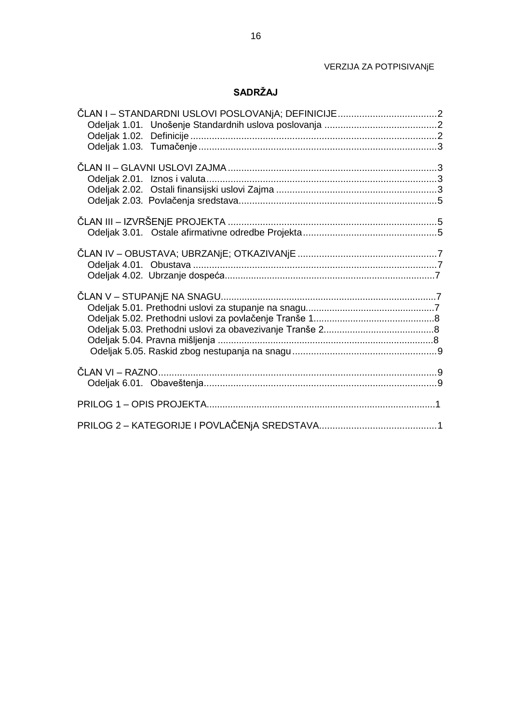# VERZIJA ZA POTPISIVANjE

# **SADRŽAJ**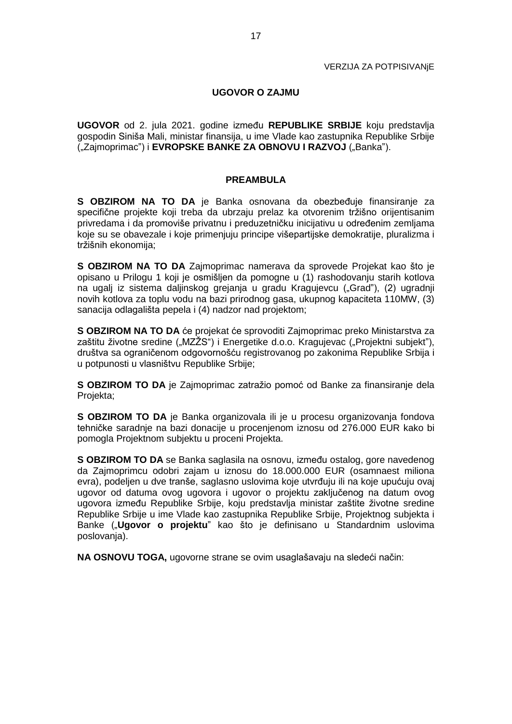# **UGOVOR O ZAJMU**

**UGOVOR** od 2. jula 2021. godine između **REPUBLIKE SRBIJE** koju predstavlja gospodin Siniša Mali, ministar finansija, u ime Vlade kao zastupnika Republike Srbije ("Zajmoprimac") i **EVROPSKE BANKE ZA OBNOVU I RAZVOJ** ("Banka").

### **PREAMBULA**

**S OBZIROM NA TO DA** je Banka osnovana da obezbeđuje finansiranje za specifične projekte koji treba da ubrzaju prelaz ka otvorenim tržišno orijentisanim privredama i da promoviše privatnu i preduzetničku inicijativu u određenim zemljama koje su se obavezale i koje primenjuju principe višepartijske demokratije, pluralizma i tržišnih ekonomija;

**S OBZIROM NA TO DA** Zajmoprimac namerava da sprovede Projekat kao što je opisano u Prilogu 1 koji je osmišljen da pomogne u (1) rashodovanju starih kotlova na ugalj iz sistema daljinskog grejanja u gradu Kragujevcu ("Grad"), (2) ugradnji novih kotlova za toplu vodu na bazi prirodnog gasa, ukupnog kapaciteta 110MW, (3) sanacija odlagališta pepela i (4) nadzor nad projektom;

**S OBZIROM NA TO DA** će projekat će sprovoditi Zajmoprimac preko Ministarstva za zaštitu životne sredine ("MZŽS") i Energetike d.o.o. Kragujevac ("Projektni subjekt"), društva sa ograničenom odgovornošću registrovanog po zakonima Republike Srbija i u potpunosti u vlasništvu Republike Srbije;

**S OBZIROM TO DA** je Zajmoprimac zatražio pomoć od Banke za finansiranje dela Projekta;

**S OBZIROM TO DA** je Banka organizovala ili je u procesu organizovanja fondova tehničke saradnje na bazi donacije u procenjenom iznosu od 276.000 EUR kako bi pomogla Projektnom subjektu u proceni Projekta.

**S OBZIROM TO DA** se Banka saglasila na osnovu, između ostalog, gore navedenog da Zajmoprimcu odobri zajam u iznosu do 18.000.000 EUR (osamnaest miliona evra), podeljen u dve tranše, saglasno uslovima koje utvrđuju ili na koje upućuju ovaj ugovor od datuma ovog ugovora i ugovor o projektu zaključenog na datum ovog ugovora između Republike Srbije, koju predstavlja ministar zaštite životne sredine Republike Srbije u ime Vlade kao zastupnika Republike Srbije, Projektnog subjekta i Banke ("Ugovor o projektu" kao što je definisano u Standardnim uslovima poslovanja).

**NA OSNOVU TOGA,** ugovorne strane se ovim usaglašavaju na sledeći način: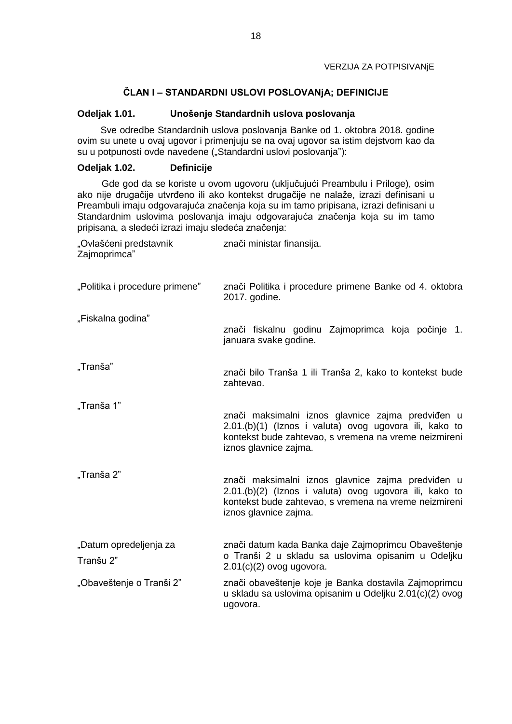### VERZIJA ZA POTPISIVANjE

# **ČLAN I – STANDARDNI USLOVI POSLOVANjA; DEFINICIJE**

# **Odeljak 1.01. Unošenje Standardnih uslova poslovanja**

Sve odredbe Standardnih uslova poslovanja Banke od 1. oktobra 2018. godine ovim su unete u ovaj ugovor i primenjuju se na ovaj ugovor sa istim dejstvom kao da su u potpunosti ovde navedene ("Standardni uslovi poslovanja"):

# **Odeljak 1.02. Definicije**

Gde god da se koriste u ovom ugovoru (uključujući Preambulu i Priloge), osim ako nije drugačije utvrđeno ili ako kontekst drugačije ne nalaže, izrazi definisani u Preambuli imaju odgovarajuća značenja koja su im tamo pripisana, izrazi definisani u Standardnim uslovima poslovanja imaju odgovarajuća značenja koja su im tamo pripisana, a sledeći izrazi imaju sledeća značenja:

| "Ovlašćeni predstavnik<br>Zajmoprimca" | znači ministar finansija.                                                                                                                                                                     |
|----------------------------------------|-----------------------------------------------------------------------------------------------------------------------------------------------------------------------------------------------|
| "Politika i procedure primene"         | znači Politika i procedure primene Banke od 4. oktobra<br>2017. godine.                                                                                                                       |
| "Fiskalna godina"                      | znači fiskalnu godinu Zajmoprimca koja počinje 1.<br>januara svake godine.                                                                                                                    |
| "Tranša"                               | znači bilo Tranša 1 ili Tranša 2, kako to kontekst bude<br>zahtevao.                                                                                                                          |
| "Tranša 1"                             | znači maksimalni iznos glavnice zajma predviđen u<br>2.01.(b)(1) (Iznos i valuta) ovog ugovora ili, kako to<br>kontekst bude zahtevao, s vremena na vreme neizmireni<br>iznos glavnice zajma. |
| "Tranša 2"                             | znači maksimalni iznos glavnice zajma predviđen u<br>2.01.(b)(2) (Iznos i valuta) ovog ugovora ili, kako to<br>kontekst bude zahtevao, s vremena na vreme neizmireni<br>iznos glavnice zajma. |
| "Datum opredeljenja za<br>Tranšu 2"    | znači datum kada Banka daje Zajmoprimcu Obaveštenje<br>o Tranši 2 u skladu sa uslovima opisanim u Odeljku<br>$2.01(c)(2)$ ovog ugovora.                                                       |
| "Obaveštenje o Tranši 2"               | znači obaveštenje koje je Banka dostavila Zajmoprimcu<br>u skladu sa uslovima opisanim u Odeljku 2.01(c)(2) ovog<br>ugovora.                                                                  |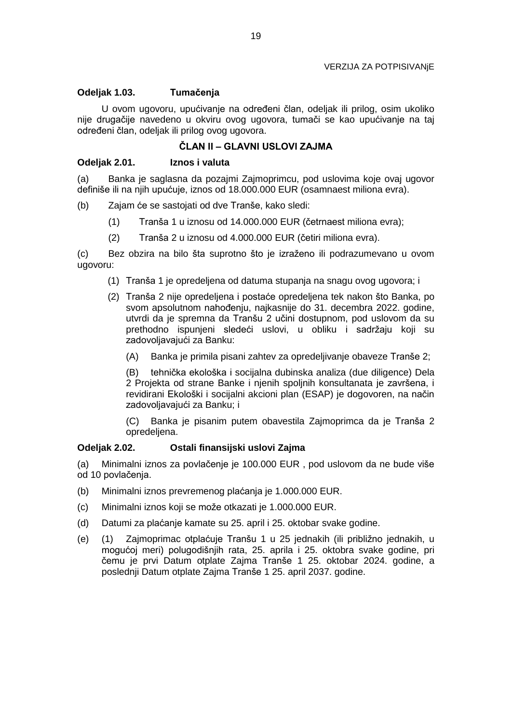# **Odeljak 1.03. Tumačenja**

U ovom ugovoru, upućivanje na određeni član, odeljak ili prilog, osim ukoliko nije drugačije navedeno u okviru ovog ugovora, tumači se kao upućivanje na taj određeni član, odeljak ili prilog ovog ugovora.

# **ČLAN II – GLAVNI USLOVI ZAJMA**

# **Odeljak 2.01. Iznos i valuta**

(a) Banka je saglasna da pozajmi Zajmoprimcu, pod uslovima koje ovaj ugovor definiše ili na njih upućuje, iznos od 18.000.000 EUR (osamnaest miliona evra).

- (b) Zajam će se sastojati od dve Tranše, kako sledi:
	- (1) Tranša 1 u iznosu od 14.000.000 EUR (četrnaest miliona evra);
	- (2) Tranša 2 u iznosu od 4.000.000 EUR (četiri miliona evra).

(c) Bez obzira na bilo šta suprotno što je izraženo ili podrazumevano u ovom ugovoru:

- (1) Tranša 1 je opredeljena od datuma stupanja na snagu ovog ugovora; i
- (2) Tranša 2 nije opredeljena i postaće opredeljena tek nakon što Banka, po svom apsolutnom nahođenju, najkasnije do 31. decembra 2022. godine, utvrdi da je spremna da Tranšu 2 učini dostupnom, pod uslovom da su prethodno ispunjeni sledeći uslovi, u obliku i sadržaju koji su zadovoljavajući za Banku:
	- (A) Banka je primila pisani zahtev za opredeljivanje obaveze Tranše 2;

(B) tehnička ekološka i socijalna dubinska analiza (due diligence) Dela 2 Projekta od strane Banke i njenih spoljnih konsultanata je završena, i revidirani Ekološki i socijalni akcioni plan (ESAP) je dogovoren, na način zadovoljavajući za Banku; i

(C) Banka je pisanim putem obavestila Zajmoprimca da je Tranša 2 opredeljena.

# **Odeljak 2.02. Ostali finansijski uslovi Zajma**

(a) Minimalni iznos za povlačenje je 100.000 EUR , pod uslovom da ne bude više od 10 povlačenja.

- (b) Minimalni iznos prevremenog plaćanja je 1.000.000 EUR.
- (c) Minimalni iznos koji se može otkazati je 1.000.000 EUR.
- (d) Datumi za plaćanje kamate su 25. april i 25. oktobar svake godine.
- (e) (1) Zajmoprimac otplaćuje Tranšu 1 u 25 jednakih (ili približno jednakih, u mogućoj meri) polugodišnjih rata, 25. aprila i 25. oktobra svake godine, pri čemu je prvi Datum otplate Zajma Tranše 1 25. oktobar 2024. godine, a poslednji Datum otplate Zajma Tranše 1 25. april 2037. godine.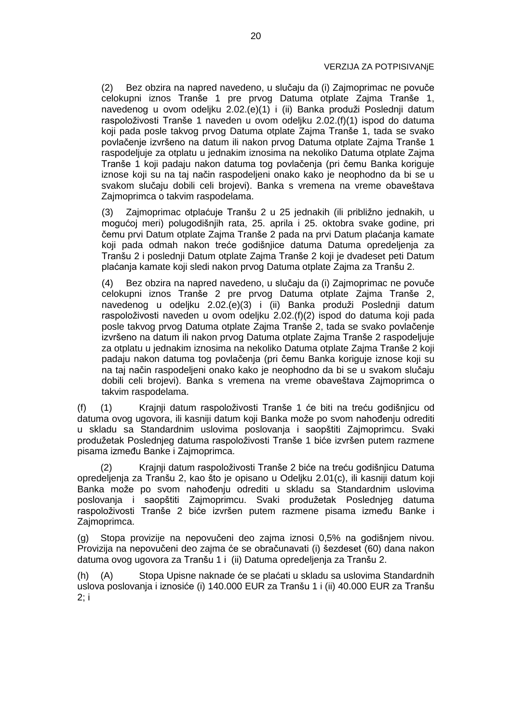### VERZIJA ZA POTPISIVANjE

(2) Bez obzira na napred navedeno, u slučaju da (i) Zajmoprimac ne povuče celokupni iznos Tranše 1 pre prvog Datuma otplate Zajma Tranše 1, navedenog u ovom odeljku 2.02.(e)(1) i (ii) Banka produži Poslednji datum raspoloživosti Tranše 1 naveden u ovom odeljku 2.02.(f)(1) ispod do datuma koji pada posle takvog prvog Datuma otplate Zajma Tranše 1, tada se svako povlačenje izvršeno na datum ili nakon prvog Datuma otplate Zajma Tranše 1 raspodeljuje za otplatu u jednakim iznosima na nekoliko Datuma otplate Zajma Tranše 1 koji padaju nakon datuma tog povlačenja (pri čemu Banka koriguje iznose koji su na taj način raspodeljeni onako kako je neophodno da bi se u svakom slučaju dobili celi brojevi). Banka s vremena na vreme obaveštava Zajmoprimca o takvim raspodelama.

(3) Zajmoprimac otplaćuje Tranšu 2 u 25 jednakih (ili približno jednakih, u mogućoj meri) polugodišnjih rata, 25. aprila i 25. oktobra svake godine, pri čemu prvi Datum otplate Zajma Tranše 2 pada na prvi Datum plaćanja kamate koji pada odmah nakon treće godišnjice datuma Datuma opredeljenja za Tranšu 2 i poslednji Datum otplate Zajma Tranše 2 koji je dvadeset peti Datum plaćanja kamate koji sledi nakon prvog Datuma otplate Zajma za Tranšu 2.

(4) Bez obzira na napred navedeno, u slučaju da (i) Zajmoprimac ne povuče celokupni iznos Tranše 2 pre prvog Datuma otplate Zajma Tranše 2, navedenog u odeljku 2.02.(e)(3) i (ii) Banka produži Poslednji datum raspoloživosti naveden u ovom odeljku 2.02.(f)(2) ispod do datuma koji pada posle takvog prvog Datuma otplate Zajma Tranše 2, tada se svako povlačenje izvršeno na datum ili nakon prvog Datuma otplate Zajma Tranše 2 raspodeljuje za otplatu u jednakim iznosima na nekoliko Datuma otplate Zajma Tranše 2 koji padaju nakon datuma tog povlačenja (pri čemu Banka koriguje iznose koji su na taj način raspodeljeni onako kako je neophodno da bi se u svakom slučaju dobili celi brojevi). Banka s vremena na vreme obaveštava Zajmoprimca o takvim raspodelama.

(f) (1) Krajnji datum raspoloživosti Tranše 1 će biti na treću godišnjicu od datuma ovog ugovora, ili kasniji datum koji Banka može po svom nahođenju odrediti u skladu sa Standardnim uslovima poslovanja i saopštiti Zajmoprimcu. Svaki produžetak Poslednjeg datuma raspoloživosti Tranše 1 biće izvršen putem razmene pisama između Banke i Zajmoprimca.

(2) Krajnji datum raspoloživosti Tranše 2 biće na treću godišnjicu Datuma opredeljenja za Tranšu 2, kao što je opisano u Odeljku 2.01(c), ili kasniji datum koji Banka može po svom nahođenju odrediti u skladu sa Standardnim uslovima poslovanja i saopštiti Zajmoprimcu. Svaki produžetak Poslednjeg datuma raspoloživosti Tranše 2 biće izvršen putem razmene pisama između Banke i Zajmoprimca.

(g) Stopa provizije na nepovučeni deo zajma iznosi 0,5% na godišnjem nivou. Provizija na nepovučeni deo zajma će se obračunavati (i) šezdeset (60) dana nakon datuma ovog ugovora za Tranšu 1 i (ii) Datuma opredeljenja za Tranšu 2.

(h) (A) Stopa Upisne naknade će se plaćati u skladu sa uslovima Standardnih uslova poslovanja i iznosiće (i) 140.000 EUR za Tranšu 1 i (ii) 40.000 EUR za Tranšu 2; i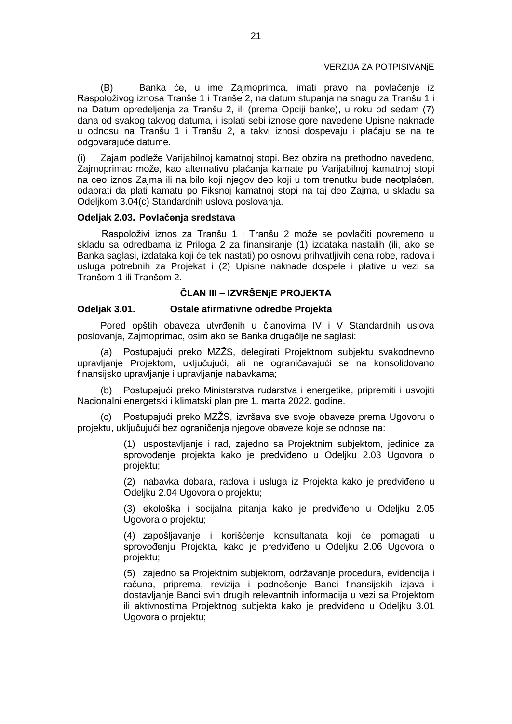#### VERZIJA ZA POTPISIVANjE

(B) Banka će, u ime Zajmoprimca, imati pravo na povlačenje iz Raspoloživog iznosa Tranše 1 i Tranše 2, na datum stupanja na snagu za Tranšu 1 i na Datum opredeljenja za Tranšu 2, ili (prema Opciji banke), u roku od sedam (7) dana od svakog takvog datuma, i isplati sebi iznose gore navedene Upisne naknade u odnosu na Tranšu 1 i Tranšu 2, a takvi iznosi dospevaju i plaćaju se na te odgovarajuće datume.

(i) Zajam podleže Varijabilnoj kamatnoj stopi. Bez obzira na prethodno navedeno, Zajmoprimac može, kao alternativu plaćanja kamate po Varijabilnoj kamatnoj stopi na ceo iznos Zajma ili na bilo koji njegov deo koji u tom trenutku bude neotplaćen, odabrati da plati kamatu po Fiksnoj kamatnoj stopi na taj deo Zajma, u skladu sa Odeljkom 3.04(c) Standardnih uslova poslovanja.

#### **Odeljak 2.03. Povlačenja sredstava**

Raspoloživi iznos za Tranšu 1 i Tranšu 2 može se povlačiti povremeno u skladu sa odredbama iz Priloga 2 za finansiranje (1) izdataka nastalih (ili, ako se Banka saglasi, izdataka koji će tek nastati) po osnovu prihvatljivih cena robe, radova i usluga potrebnih za Projekat i (2) Upisne naknade dospele i plative u vezi sa Tranšom 1 ili Tranšom 2.

# **ČLAN III – IZVRŠENjE PROJEKTA**

### **Odeljak 3.01. Ostale afirmativne odredbe Projekta**

Pored opštih obaveza utvrđenih u članovima IV i V Standardnih uslova poslovanja, Zajmoprimac, osim ako se Banka drugačije ne saglasi:

(a) Postupajući preko MZŽS, delegirati Projektnom subjektu svakodnevno upravljanje Projektom, uključujući, ali ne ograničavajući se na konsolidovano finansijsko upravljanje i upravljanje nabavkama;

(b) Postupajući preko Ministarstva rudarstva i energetike, pripremiti i usvojiti Nacionalni energetski i klimatski plan pre 1. marta 2022. godine.

Postupajući preko MZŽS, izvršava sve svoje obaveze prema Ugovoru o projektu, uključujući bez ograničenja njegove obaveze koje se odnose na:

> (1) uspostavljanje i rad, zajedno sa Projektnim subjektom, jedinice za sprovođenje projekta kako je predviđeno u Odeljku 2.03 Ugovora o projektu;

> (2) nabavka dobara, radova i usluga iz Projekta kako je predviđeno u Odeljku 2.04 Ugovora o projektu;

> (3) ekološka i socijalna pitanja kako je predviđeno u Odeljku 2.05 Ugovora o projektu;

> (4) zapošljavanje i korišćenje konsultanata koji će pomagati u sprovođenju Projekta, kako je predviđeno u Odeljku 2.06 Ugovora o projektu;

> (5) zajedno sa Projektnim subjektom, održavanje procedura, evidencija i računa, priprema, revizija i podnošenje Banci finansijskih izjava i dostavljanje Banci svih drugih relevantnih informacija u vezi sa Projektom ili aktivnostima Projektnog subjekta kako je predviđeno u Odeljku 3.01 Ugovora o projektu;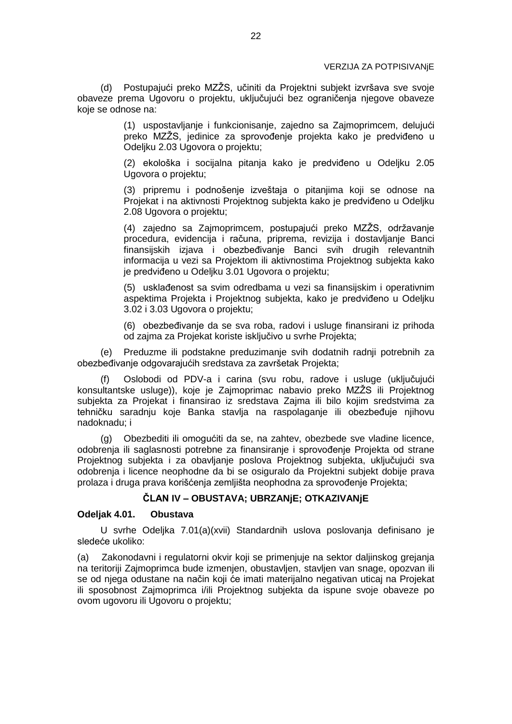(d) Postupajući preko MZŽS, učiniti da Projektni subjekt izvršava sve svoje obaveze prema Ugovoru o projektu, uključujući bez ograničenja njegove obaveze koje se odnose na:

> (1) uspostavljanje i funkcionisanje, zajedno sa Zajmoprimcem, delujući preko MZŽS, jedinice za sprovođenje projekta kako je predviđeno u Odeljku 2.03 Ugovora o projektu;

> (2) ekološka i socijalna pitanja kako je predviđeno u Odeljku 2.05 Ugovora o projektu;

> (3) pripremu i podnošenje izveštaja o pitanjima koji se odnose na Projekat i na aktivnosti Projektnog subjekta kako je predviđeno u Odeljku 2.08 Ugovora o projektu;

> (4) zajedno sa Zajmoprimcem, postupajući preko MZŽS, održavanje procedura, evidencija i računa, priprema, revizija i dostavljanje Banci finansijskih izjava i obezbeđivanje Banci svih drugih relevantnih informacija u vezi sa Projektom ili aktivnostima Projektnog subjekta kako je predviđeno u Odeljku 3.01 Ugovora o projektu;

> (5) usklađenost sa svim odredbama u vezi sa finansijskim i operativnim aspektima Projekta i Projektnog subjekta, kako je predviđeno u Odeljku 3.02 i 3.03 Ugovora o projektu;

> (6) obezbeđivanje da se sva roba, radovi i usluge finansirani iz prihoda od zajma za Projekat koriste isključivo u svrhe Projekta;

(e) Preduzme ili podstakne preduzimanje svih dodatnih radnji potrebnih za obezbeđivanje odgovarajućih sredstava za završetak Projekta;

(f) Oslobodi od PDV-a i carina (svu robu, radove i usluge (uključujući konsultantske usluge)), koje je Zajmoprimac nabavio preko MZŽS ili Projektnog subjekta za Projekat i finansirao iz sredstava Zajma ili bilo kojim sredstvima za tehničku saradnju koje Banka stavlja na raspolaganje ili obezbeđuje njihovu nadoknadu; i

(g) Obezbediti ili omogućiti da se, na zahtev, obezbede sve vladine licence, odobrenja ili saglasnosti potrebne za finansiranje i sprovođenje Projekta od strane Projektnog subjekta i za obavljanje poslova Projektnog subjekta, uključujući sva odobrenja i licence neophodne da bi se osiguralo da Projektni subjekt dobije prava prolaza i druga prava korišćenja zemljišta neophodna za sprovođenje Projekta;

# **ČLAN IV – OBUSTAVA; UBRZANjE; OTKAZIVANjE**

### **Odeljak 4.01. Obustava**

U svrhe Odeljka 7.01(a)(xvii) Standardnih uslova poslovanja definisano je sledeće ukoliko:

(a) Zakonodavni i regulatorni okvir koji se primenjuje na sektor daljinskog grejanja na teritoriji Zajmoprimca bude izmenjen, obustavljen, stavljen van snage, opozvan ili se od njega odustane na način koji će imati materijalno negativan uticaj na Projekat ili sposobnost Zajmoprimca i/ili Projektnog subjekta da ispune svoje obaveze po ovom ugovoru ili Ugovoru o projektu;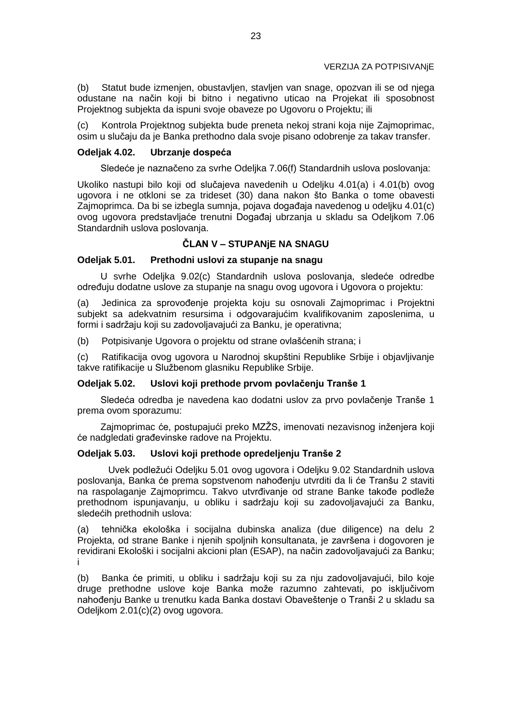(b) Statut bude izmenjen, obustavljen, stavljen van snage, opozvan ili se od njega odustane na način koji bi bitno i negativno uticao na Projekat ili sposobnost Projektnog subjekta da ispuni svoje obaveze po Ugovoru o Projektu; ili

(c) Kontrola Projektnog subjekta bude preneta nekoj strani koja nije Zajmoprimac, osim u slučaju da je Banka prethodno dala svoje pisano odobrenje za takav transfer.

### **Odeljak 4.02. Ubrzanje dospeća**

Sledeće je naznačeno za svrhe Odeljka 7.06(f) Standardnih uslova poslovanja:

Ukoliko nastupi bilo koji od slučajeva navedenih u Odeljku 4.01(a) i 4.01(b) ovog ugovora i ne otkloni se za trideset (30) dana nakon što Banka o tome obavesti Zajmoprimca. Da bi se izbegla sumnja, pojava događaja navedenog u odeljku 4.01(c) ovog ugovora predstavljaće trenutni Događaj ubrzanja u skladu sa Odeljkom 7.06 Standardnih uslova poslovanja.

# **ČLAN V – STUPANjE NA SNAGU**

#### **Odeljak 5.01. Prethodni uslovi za stupanje na snagu**

U svrhe Odeljka 9.02(c) Standardnih uslova poslovanja, sledeće odredbe određuju dodatne uslove za stupanje na snagu ovog ugovora i Ugovora o projektu:

(a) Jedinica za sprovođenje projekta koju su osnovali Zajmoprimac i Projektni subjekt sa adekvatnim resursima i odgovarajućim kvalifikovanim zaposlenima, u formi i sadržaju koji su zadovoljavajući za Banku, je operativna;

(b) Potpisivanje Ugovora o projektu od strane ovlašćenih strana; i

(c) Ratifikacija ovog ugovora u Narodnoj skupštini Republike Srbije i objavljivanje takve ratifikacije u Službenom glasniku Republike Srbije.

### **Odeljak 5.02. Uslovi koji prethode prvom povlačenju Tranše 1**

Sledeća odredba je navedena kao dodatni uslov za prvo povlačenje Tranše 1 prema ovom sporazumu:

Zajmoprimac će, postupajući preko MZŽS, imenovati nezavisnog inženjera koji će nadgledati građevinske radove na Projektu.

### **Odeljak 5.03. Uslovi koji prethode opredeljenju Tranše 2**

Uvek podležući Odeljku 5.01 ovog ugovora i Odeljku 9.02 Standardnih uslova poslovanja, Banka će prema sopstvenom nahođenju utvrditi da li će Tranšu 2 staviti na raspolaganje Zajmoprimcu. Takvo utvrđivanje od strane Banke takođe podleže prethodnom ispunjavanju, u obliku i sadržaju koji su zadovoljavajući za Banku, sledećih prethodnih uslova:

(a) tehnička ekološka i socijalna dubinska analiza (due diligence) na delu 2 Projekta, od strane Banke i njenih spoljnih konsultanata, je završena i dogovoren je revidirani Ekološki i socijalni akcioni plan (ESAP), na način zadovoljavajući za Banku; i

(b) Banka će primiti, u obliku i sadržaju koji su za nju zadovoljavajući, bilo koje druge prethodne uslove koje Banka može razumno zahtevati, po isključivom nahođenju Banke u trenutku kada Banka dostavi Obaveštenje o Tranši 2 u skladu sa Odeljkom 2.01(c)(2) ovog ugovora.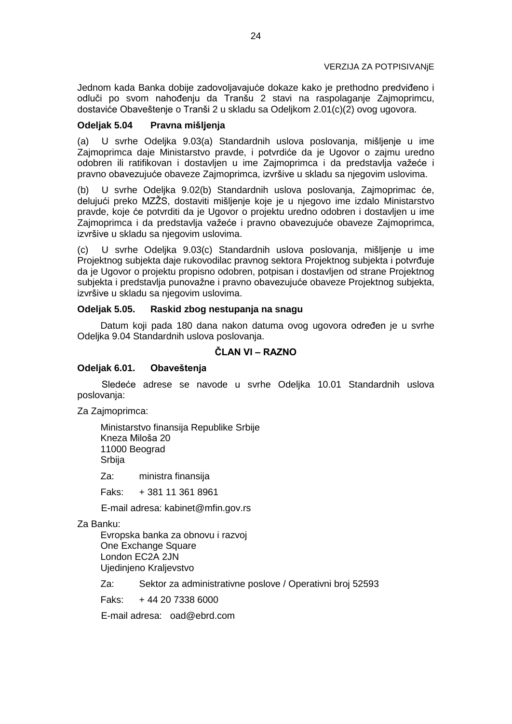Jednom kada Banka dobije zadovoljavajuće dokaze kako je prethodno predviđeno i odluči po svom nahođenju da Tranšu 2 stavi na raspolaganje Zajmoprimcu, dostaviće Obaveštenje o Tranši 2 u skladu sa Odeljkom 2.01(c)(2) ovog ugovora.

# **Odeljak 5.04 Pravna mišljenja**

(a) U svrhe Odeljka 9.03(a) Standardnih uslova poslovanja, mišljenje u ime Zajmoprimca daje Ministarstvo pravde, i potvrdiće da je Ugovor o zajmu uredno odobren ili ratifikovan i dostavljen u ime Zajmoprimca i da predstavlja važeće i pravno obavezujuće obaveze Zajmoprimca, izvršive u skladu sa njegovim uslovima.

(b) U svrhe Odeljka 9.02(b) Standardnih uslova poslovanja, Zajmoprimac će, delujući preko MZŽS, dostaviti mišljenje koje je u njegovo ime izdalo Ministarstvo pravde, koje će potvrditi da je Ugovor o projektu uredno odobren i dostavljen u ime Zajmoprimca i da predstavlja važeće i pravno obavezujuće obaveze Zajmoprimca, izvršive u skladu sa njegovim uslovima.

(c) U svrhe Odeljka 9.03(c) Standardnih uslova poslovanja, mišljenje u ime Projektnog subjekta daje rukovodilac pravnog sektora Projektnog subjekta i potvrđuje da je Ugovor o projektu propisno odobren, potpisan i dostavljen od strane Projektnog subjekta i predstavlja punovažne i pravno obavezujuće obaveze Projektnog subjekta, izvršive u skladu sa njegovim uslovima.

### **Odeljak 5.05. Raskid zbog nestupanja na snagu**

Datum koji pada 180 dana nakon datuma ovog ugovora određen je u svrhe Odeljka 9.04 Standardnih uslova poslovanja.

# **ČLAN VI – RAZNO**

# **Odeljak 6.01. Obaveštenja**

Sledeće adrese se navode u svrhe Odeljka 10.01 Standardnih uslova poslovanja:

Za Zajmoprimca:

Ministarstvo finansija Republike Srbije Kneza Miloša 20 11000 Beograd Srbija

Za: ministra finansija

Faks: + 381 11 361 8961

E-mail adresa: kabinet@mfin.gov.rs

Za Banku:

Evropska banka za obnovu i razvoj One Exchange Square London EC2A 2JN Ujedinjeno Kraljevstvo

Za: Sektor za administrativne poslove / Operativni broj 52593

 $Faks: + 44, 20, 7338, 6000$ 

E-mail adresa: oad@ebrd.com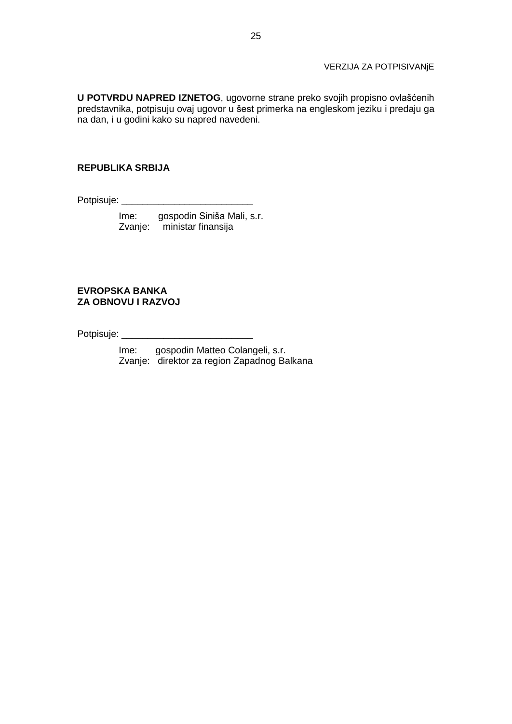### VERZIJA ZA POTPISIVANjE

**U POTVRDU NAPRED IZNETOG**, ugovorne strane preko svojih propisno ovlašćenih predstavnika, potpisuju ovaj ugovor u šest primerka na engleskom jeziku i predaju ga na dan, i u godini kako su napred navedeni.

### **REPUBLIKA SRBIJA**

Potpisuje: \_\_\_\_\_\_\_\_\_\_\_\_\_\_\_\_\_\_\_\_\_\_\_\_\_

 Ime: gospodin Siniša Mali, s.r. Zvanje: ministar finansija

# **EVROPSKA BANKA ZA OBNOVU I RAZVOJ**

Potpisuje: \_\_\_\_\_\_\_\_\_\_\_\_\_\_\_\_\_\_\_\_\_\_\_\_\_

 Ime: gospodin Matteo Colangeli, s.r. Zvanje: direktor za region Zapadnog Balkana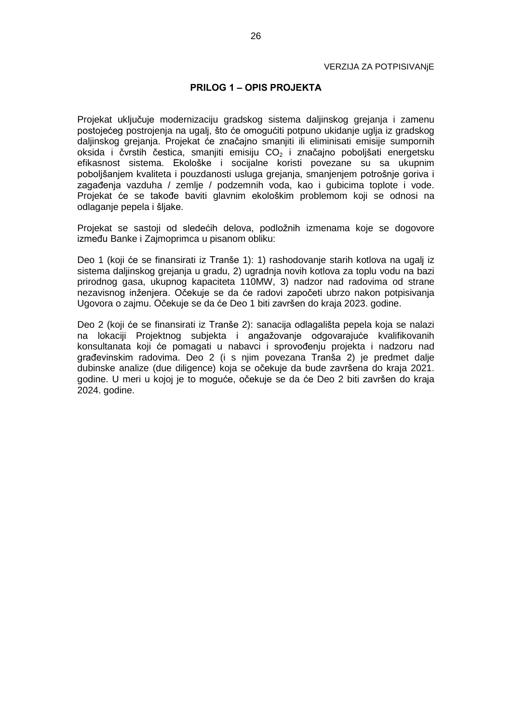#### **PRILOG 1 – OPIS PROJEKTA**

Projekat uključuje modernizaciju gradskog sistema daljinskog grejanja i zamenu postojećeg postrojenja na ugalj, što će omogućiti potpuno ukidanje uglja iz gradskog daljinskog grejanja. Projekat će značajno smanjiti ili eliminisati emisije sumpornih oksida i čvrstih čestica, smanjiti emisiju  $CO<sub>2</sub>$  i značajno poboljšati energetsku efikasnost sistema. Ekološke i socijalne koristi povezane su sa ukupnim poboljšanjem kvaliteta i pouzdanosti usluga grejanja, smanjenjem potrošnje goriva i zagađenja vazduha / zemlje / podzemnih voda, kao i gubicima toplote i vode. Projekat će se takođe baviti glavnim ekološkim problemom koji se odnosi na odlaganje pepela i šljake.

Projekat se sastoji od sledećih delova, podložnih izmenama koje se dogovore između Banke i Zajmoprimca u pisanom obliku:

Deo 1 (koji će se finansirati iz Tranše 1): 1) rashodovanje starih kotlova na ugalj iz sistema daljinskog grejanja u gradu, 2) ugradnja novih kotlova za toplu vodu na bazi prirodnog gasa, ukupnog kapaciteta 110MW, 3) nadzor nad radovima od strane nezavisnog inženjera. Očekuje se da će radovi započeti ubrzo nakon potpisivanja Ugovora o zajmu. Očekuje se da će Deo 1 biti završen do kraja 2023. godine.

Deo 2 (koji će se finansirati iz Tranše 2): sanacija odlagališta pepela koja se nalazi na lokaciji Projektnog subjekta i angažovanje odgovarajuće kvalifikovanih konsultanata koji će pomagati u nabavci i sprovođenju projekta i nadzoru nad građevinskim radovima. Deo 2 (i s njim povezana Tranša 2) je predmet dalje dubinske analize (due diligence) koja se očekuje da bude završena do kraja 2021. godine. U meri u kojoj je to moguće, očekuje se da će Deo 2 biti završen do kraja 2024. godine.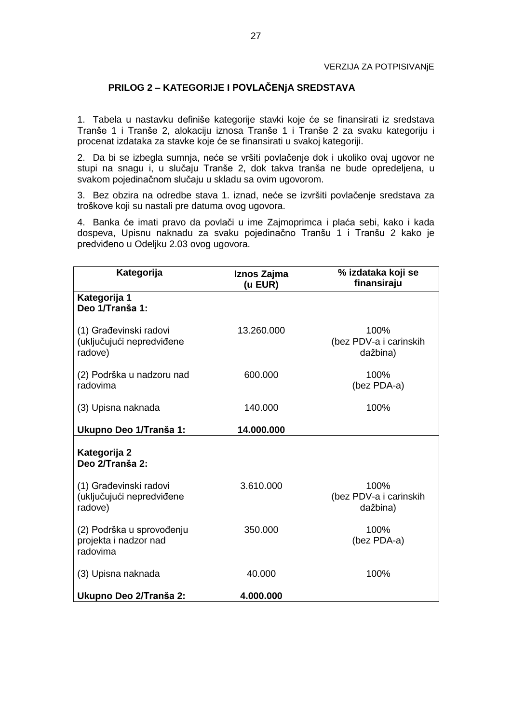# **PRILOG 2 – KATEGORIJE I POVLAČENjA SREDSTAVA**

1. Tabela u nastavku definiše kategorije stavki koje će se finansirati iz sredstava Tranše 1 i Tranše 2, alokaciju iznosa Tranše 1 i Tranše 2 za svaku kategoriju i procenat izdataka za stavke koje će se finansirati u svakoj kategoriji.

2. Da bi se izbegla sumnja, neće se vršiti povlačenje dok i ukoliko ovaj ugovor ne stupi na snagu i, u slučaju Tranše 2, dok takva tranša ne bude opredeljena, u svakom pojedinačnom slučaju u skladu sa ovim ugovorom.

3. Bez obzira na odredbe stava 1. iznad, neće se izvršiti povlačenje sredstava za troškove koji su nastali pre datuma ovog ugovora.

4. Banka će imati pravo da povlači u ime Zajmoprimca i plaća sebi, kako i kada dospeva, Upisnu naknadu za svaku pojedinačno Tranšu 1 i Tranšu 2 kako je predviđeno u Odeljku 2.03 ovog ugovora.

| Kategorija                                                     | Iznos Zajma<br>(u EUR) | % izdataka koji se<br>finansiraju          |  |
|----------------------------------------------------------------|------------------------|--------------------------------------------|--|
| Kategorija 1<br>Deo 1/Tranša 1:                                |                        |                                            |  |
| (1) Građevinski radovi<br>(uključujući nepredviđene<br>radove) | 13.260.000             | 100%<br>(bez PDV-a i carinskih<br>dažbina) |  |
| (2) Podrška u nadzoru nad<br>radovima                          | 600.000                | 100%<br>(bez PDA-a)                        |  |
| (3) Upisna naknada                                             | 140,000                | 100%                                       |  |
| Ukupno Deo 1/Tranša 1:                                         | 14.000.000             |                                            |  |
| Kategorija 2<br>Deo 2/Tranša 2:                                |                        |                                            |  |
| (1) Građevinski radovi<br>(uključujući nepredviđene<br>radove) | 3.610.000              | 100%<br>(bez PDV-a i carinskih<br>dažbina) |  |
| (2) Podrška u sprovođenju<br>projekta i nadzor nad<br>radovima | 350.000                | 100%<br>(bez PDA-a)                        |  |
| (3) Upisna naknada                                             | 40.000                 | 100%                                       |  |
| Ukupno Deo 2/Tranša 2:                                         | 4.000.000              |                                            |  |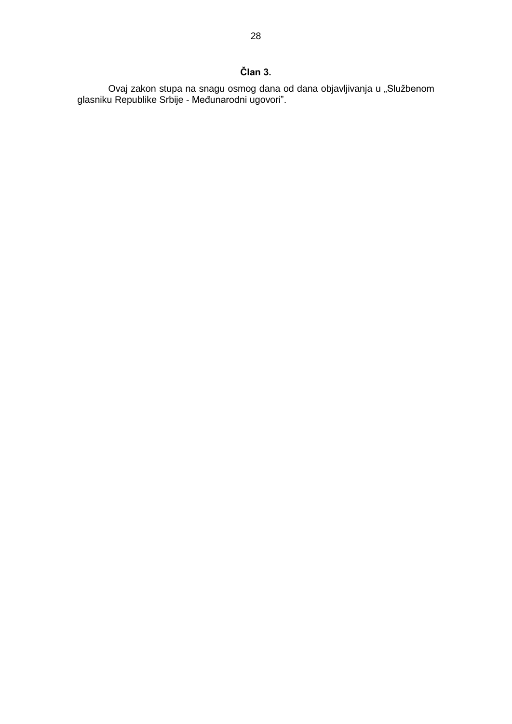Ovaj zakon stupa na snagu osmog dana od dana objavljivanja u "Službenom glasniku Republike Srbije - Međunarodni ugovori".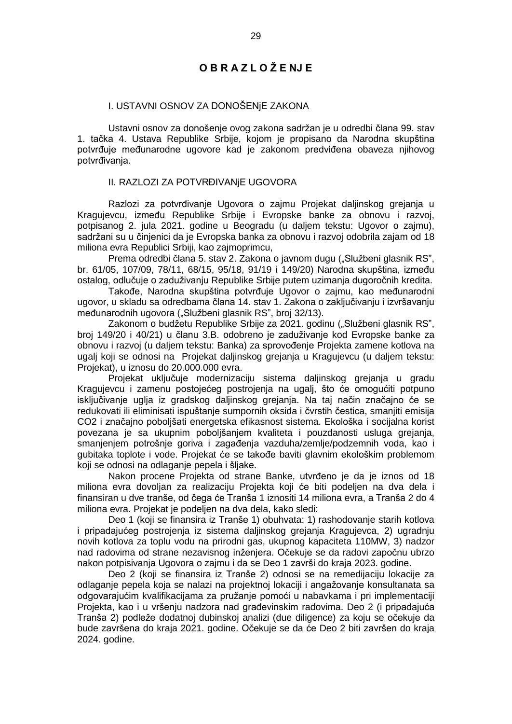# **O B R A Z L O Ž E NJ E**

### I. USTAVNI OSNOV ZA DONOŠENjE ZAKONA

Ustavni osnov za donošenje ovog zakona sadržan je u odredbi člana 99. stav 1. tačka 4. Ustava Republike Srbije, kojom je propisano da Narodna skupština potvrđuje međunarodne ugovore kad je zakonom predviđena obaveza njihovog potvrđivanja.

#### II. RAZLOZI ZA POTVRĐIVANjE UGOVORA

Razlozi za potvrđivanje Ugovora o zajmu Projekat daljinskog grejanja u Kragujevcu, između Republike Srbije i Evropske banke za obnovu i razvoj, potpisanog 2. jula 2021. godine u Beogradu (u daljem tekstu: Ugovor o zajmu), sadržani su u činjenici da je Evropska banka za obnovu i razvoj odobrila zajam od 18 miliona evra Republici Srbiji, kao zajmoprimcu,

Prema odredbi člana 5. stav 2. Zakona o javnom dugu ("Službeni glasnik RS", br. 61/05, 107/09, 78/11, 68/15, 95/18, 91/19 i 149/20) Narodna skupština, između ostalog, odlučuje o zaduživanju Republike Srbije putem uzimanja dugoročnih kredita.

Takođe, Narodna skupština potvrđuje Ugovor o zajmu, kao međunarodni ugovor, u skladu sa odredbama člana 14. stav 1. Zakona o zaključivanju i izvršavanju međunarodnih ugovora ("Službeni glasnik RS", broj 32/13).

Zakonom o budžetu Republike Srbije za 2021. godinu ("Službeni glasnik RS", broj 149/20 i 40/21) u članu 3.B. odobreno je zaduživanje kod Evropske banke za obnovu i razvoj (u daljem tekstu: Banka) za sprovođenje Projekta zamene kotlova na ugalj koji se odnosi na Projekat daljinskog grejanja u Kragujevcu (u daljem tekstu: Projekat), u iznosu do 20.000.000 evra.

Projekat uključuje modernizaciju sistema daljinskog grejanja u gradu Kragujevcu i zamenu postojećeg postrojenja na ugalj, što će omogućiti potpuno isključivanje uglja iz gradskog daljinskog grejanja. Na taj način značajno će se redukovati ili eliminisati ispuštanje sumpornih oksida i čvrstih čestica, smanjiti emisija CO2 i značajno poboljšati energetska efikasnost sistema. Ekološka i socijalna korist povezana je sa ukupnim poboljšanjem kvaliteta i pouzdanosti usluga grejanja, smanjenjem potrošnje goriva i zagađenja vazduha/zemlje/podzemnih voda, kao i gubitaka toplote i vode. Projekat će se takođe baviti glavnim ekološkim problemom koji se odnosi na odlaganje pepela i šljake.

Nakon procene Projekta od strane Banke, utvrđeno je da je iznos od 18 miliona evra dovoljan za realizaciju Projekta koji će biti podeljen na dva dela i finansiran u dve tranše, od čega će Tranša 1 iznositi 14 miliona evra, a Tranša 2 do 4 miliona evra. Projekat je podeljen na dva dela, kako sledi:

Deo 1 (koji se finansira iz Tranše 1) obuhvata: 1) rashodovanje starih kotlova i pripadajućeg postrojenja iz sistema daljinskog grejanja Kragujevca, 2) ugradnju novih kotlova za toplu vodu na prirodni gas, ukupnog kapaciteta 110MW, 3) nadzor nad radovima od strane nezavisnog inženjera. Očekuje se da radovi započnu ubrzo nakon potpisivanja Ugovora o zajmu i da se Deo 1 završi do kraja 2023. godine.

Deo 2 (koji se finansira iz Tranše 2) odnosi se na remedijaciju lokacije za odlaganje pepela koja se nalazi na projektnoj lokaciji i angažovanje konsultanata sa odgovarajućim kvalifikacijama za pružanje pomoći u nabavkama i pri implementaciji Projekta, kao i u vršenju nadzora nad građevinskim radovima. Deo 2 (i pripadajuća Tranša 2) podleže dodatnoj dubinskoj analizi (due diligence) za koju se očekuje da bude završena do kraja 2021. godine. Očekuje se da će Deo 2 biti završen do kraja 2024. godine.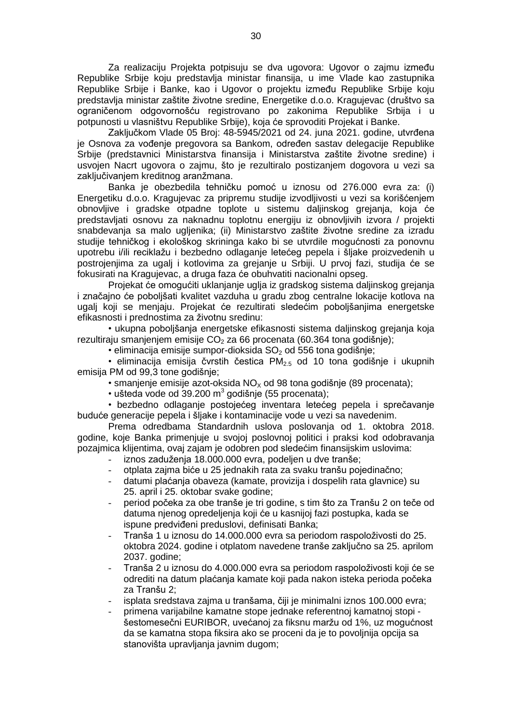Za realizaciju Projekta potpisuju se dva ugovora: Ugovor o zajmu između Republike Srbije koju predstavlja ministar finansija, u ime Vlade kao zastupnika Republike Srbije i Banke, kao i Ugovor o projektu između Republike Srbije koju predstavlja ministar zaštite životne sredine, Energetike d.o.o. Kragujevac (društvo sa ograničenom odgovornošću registrovano po zakonima Republike Srbija i u potpunosti u vlasništvu Republike Srbije), koja će sprovoditi Projekat i Banke.

Zaključkom Vlade 05 Broj: 48-5945/2021 od 24. juna 2021. godine, utvrđena je Osnova za vođenje pregovora sa Bankom, određen sastav delegacije Republike Srbije (predstavnici Ministarstva finansija i Ministarstva zaštite životne sredine) i usvojen Nacrt ugovora o zajmu, što je rezultiralo postizanjem dogovora u vezi sa zaključivanjem kreditnog aranžmana.

Banka je obezbedila tehničku pomoć u iznosu od 276.000 evra za: (i) Energetiku d.o.o. Kragujevac za pripremu studije izvodljivosti u vezi sa korišćenjem obnovljive i gradske otpadne toplote u sistemu daljinskog grejanja, koja će predstavljati osnovu za naknadnu toplotnu energiju iz obnovljivih izvora / projekti snabdevanja sa malo ugljenika; (ii) Ministarstvo zaštite životne sredine za izradu studije tehničkog i ekološkog skrininga kako bi se utvrdile mogućnosti za ponovnu upotrebu i/ili reciklažu i bezbedno odlaganje letećeg pepela i šljake proizvedenih u postrojenjima za ugalj i kotlovima za grejanje u Srbiji. U prvoj fazi, studija će se fokusirati na Kragujevac, a druga faza će obuhvatiti nacionalni opseg.

Projekat će omogućiti uklanjanje uglja iz gradskog sistema daljinskog grejanja i značajno će poboljšati kvalitet vazduha u gradu zbog centralne lokacije kotlova na ugalj koji se menjaju. Projekat će rezultirati sledećim poboljšanjima energetske efikasnosti i prednostima za životnu sredinu:

• ukupna poboljšanja energetske efikasnosti sistema daljinskog grejanja koja rezultiraju smanjenjem emisije  $CO<sub>2</sub>$  za 66 procenata (60.364 tona godišnje);

 $\cdot$  eliminacija emisije sumpor-dioksida SO<sub>2</sub> od 556 tona godišnje;

 $\cdot$  eliminacija emisija čvrstih čestica PM<sub>2.5</sub> od 10 tona godišnje i ukupnih emisija PM od 99,3 tone godišnje;

• smanjenje emisije azot-oksida  $NO_x$  od 98 tona godišnje (89 procenata);

 $\cdot$  ušteda vode od 39.200 m<sup>3</sup> godišnje (55 procenata);

• bezbedno odlaganje postojećeg inventara letećeg pepela i sprečavanje buduće generacije pepela i šljake i kontaminacije vode u vezi sa navedenim.

Prema odredbama Standardnih uslova poslovanja od 1. oktobra 2018. godine, koje Banka primenjuje u svojoj poslovnoj politici i praksi kod odobravanja pozajmica klijentima, ovaj zajam je odobren pod sledećim finansijskim uslovima:

- iznos zaduženja 18.000.000 evra, podeljen u dve tranše;
- otplata zajma biće u 25 jednakih rata za svaku tranšu pojedinačno;
- datumi plaćanja obaveza (kamate, provizija i dospelih rata glavnice) su 25. april i 25. oktobar svake godine;
- period počeka za obe tranše je tri godine, s tim što za Tranšu 2 on teče od datuma njenog opredeljenja koji će u kasnijoj fazi postupka, kada se ispune predviđeni preduslovi, definisati Banka;
- Tranša 1 u iznosu do 14.000.000 evra sa periodom raspoloživosti do 25. oktobra 2024. godine i otplatom navedene tranše zaključno sa 25. aprilom 2037. godine;
- Tranša 2 u iznosu do 4.000.000 evra sa periodom raspoloživosti koji će se odrediti na datum plaćanja kamate koji pada nakon isteka perioda počeka za Tranšu 2;
- isplata sredstava zajma u tranšama, čiji je minimalni iznos 100.000 evra;
- primena varijabilne kamatne stope jednake referentnoj kamatnoj stopi šestomesečni EURIBOR, uvećanoj za fiksnu maržu od 1%, uz mogućnost da se kamatna stopa fiksira ako se proceni da je to povoljnija opcija sa stanovišta upravljanja javnim dugom;